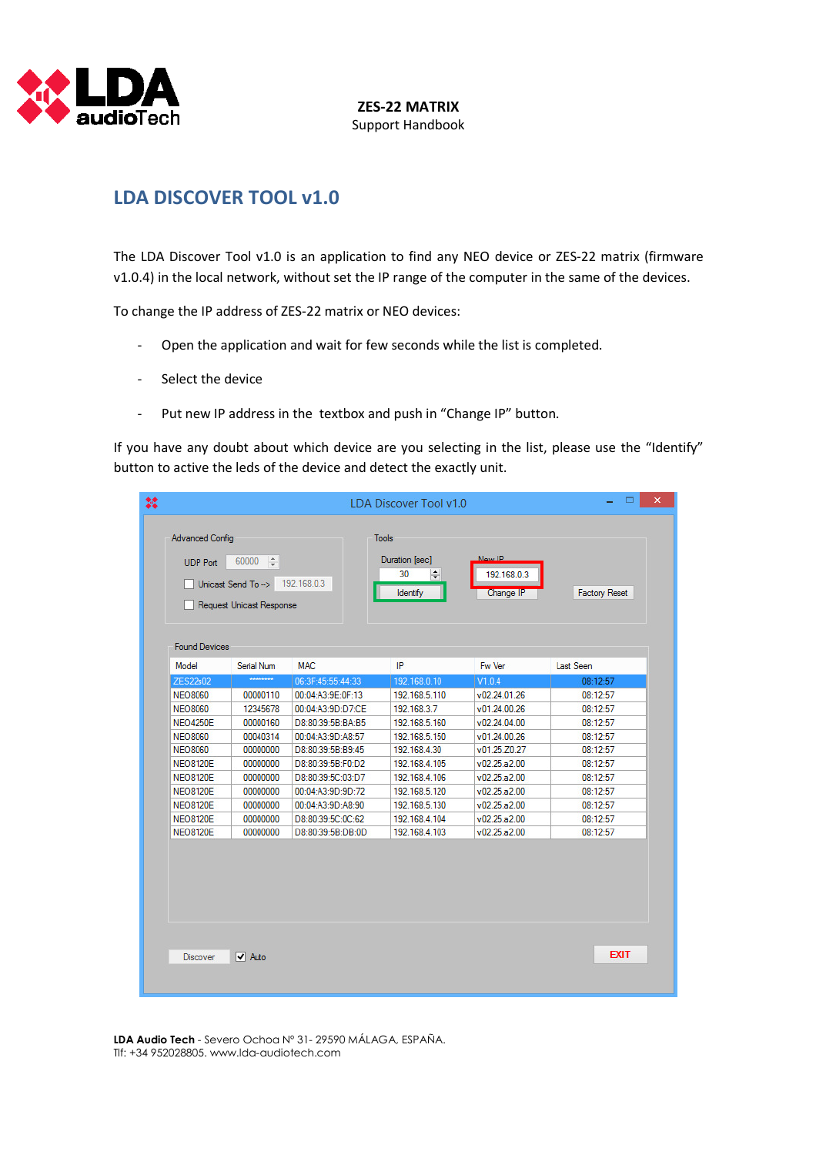

## LDA DISCOVER TOOL v1.0

The LDA Discover Tool v1.0 is an application to find any NEO device or ZES-22 matrix (firmware v1.0.4) in the local network, without set the IP range of the computer in the same of the devices.

To change the IP address of ZES-22 matrix or NEO devices:

- Open the application and wait for few seconds while the list is completed.
- Select the device
- Put new IP address in the textbox and push in "Change IP" button.

If you have any doubt about which device are you selecting in the list, please use the "Identify" button to active the leds of the device and detect the exactly unit.

| <b>Advanced Config</b><br><b>UDP Port</b> | $60000$ $\div$                                 |                   | <b>Tools</b>                                 |                                    |                      |
|-------------------------------------------|------------------------------------------------|-------------------|----------------------------------------------|------------------------------------|----------------------|
|                                           | Unicast Send To -><br>Request Unicast Response | 192.168.0.3       | Duration [sec]<br>30<br>H<br><b>Identify</b> | New IP<br>192.168.0.3<br>Change IP | <b>Factory Reset</b> |
| <b>Found Devices</b>                      |                                                |                   |                                              |                                    |                      |
| Model                                     | Serial Num                                     | <b>MAC</b>        | IP                                           | Fw Ver                             | Last Seen            |
| ZES22s02                                  | ********                                       | 06:3F:45:55:44:33 | 192.168.0.10                                 | V1.0.4                             | 08:12:57             |
| <b>NEO8060</b>                            | 00000110                                       | 00:04:A3:9E:0F:13 | 192.168.5.110                                | v02.24.01.26                       | 08:12:57             |
| <b>NEO8060</b>                            | 12345678                                       | 00:04:A3:9D:D7:CE | 192.168.3.7                                  | v01.24.00.26                       | 08:12:57             |
| <b>NEO4250E</b>                           | 00000160                                       | D8:80:39:5B:BA:B5 | 192.168.5.160                                | v02.24.04.00                       | 08:12:57             |
| <b>NEO8060</b>                            | 00040314                                       | 00:04:A3:9D:A8:57 | 192.168.5.150                                | v01.24.00.26                       | 08:12:57             |
| <b>NEO8060</b>                            | 00000000                                       | D8:80:39:5B:B9:45 | 192.168.4.30                                 | v01.25.Z0.27                       | 08:12:57             |
| <b>NEO8120E</b>                           | 00000000                                       | D8:80:39:5B:F0:D2 | 192.168.4.105                                | v02.25.a2.00                       | 08:12:57             |
| <b>NEO8120E</b>                           | 00000000                                       | D8:80:39:5C:03:D7 | 192.168.4.106                                | v02.25.a2.00                       | 08:12:57             |
| <b>NEO8120E</b>                           | 00000000                                       | 00:04:A3:9D:9D:72 | 192.168.5.120                                | v02.25.a2.00                       | 08:12:57             |
| <b>NEO8120E</b>                           | 00000000                                       | 00:04:A3:9D:A8:90 | 192.168.5.130                                | v02.25.a2.00                       | 08:12:57             |
| <b>NEO8120E</b>                           | 00000000                                       | D8:80:39:5C:0C:62 | 192.168.4.104                                | v02.25.a2.00                       | 08:12:57             |
| <b>NEO8120E</b>                           | 00000000                                       | D8:80:39:5B:DB:0D | 192.168.4.103                                | v02.25.a2.00                       | 08:12:57             |
|                                           |                                                |                   |                                              |                                    |                      |

LDA Audio Tech - Severo Ochoa Nº 31- 29590 MÁLAGA, ESPAÑA. Tlf: +34 952028805. www.lda-audiotech.com